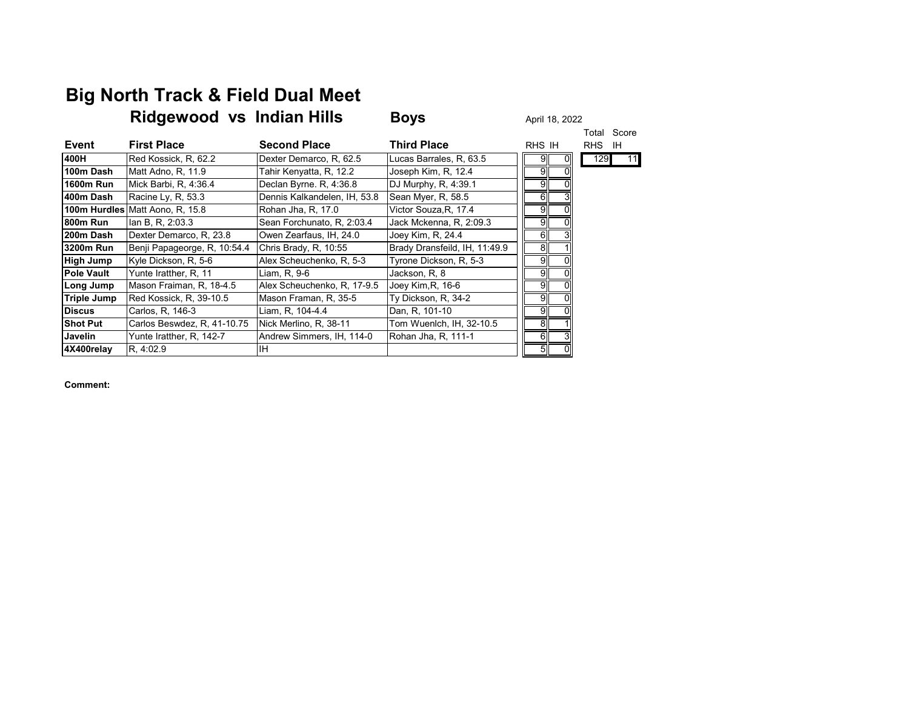## **Big North Track & Field Dual Meet**

|                  | Ridgewood vs Indian Hills       |                              | <b>Boys</b>                   | April 18, 2022 |                |
|------------------|---------------------------------|------------------------------|-------------------------------|----------------|----------------|
|                  |                                 |                              |                               |                | Score<br>Total |
| <b>Event</b>     | <b>First Place</b>              | <b>Second Place</b>          | <b>Third Place</b>            | RHS IH         | RHS IH         |
| 400H             | Red Kossick, R, 62.2            | Dexter Demarco, R, 62.5      | Lucas Barrales, R, 63.5       | 0<br>9         | 129<br>11      |
| 100m Dash        | Matt Adno, R, 11.9              | Tahir Kenyatta, R, 12.2      | Joseph Kim, R, 12.4           | 9              |                |
| <b>1600m Run</b> | Mick Barbi, R, 4:36.4           | Declan Byrne. R, 4:36.8      | DJ Murphy, R, 4:39.1          | 9              |                |
| 400m Dash        | Racine Ly, R, 53.3              | Dennis Kalkandelen, IH, 53.8 | Sean Myer, R, 58.5            | 6<br>31        |                |
|                  | 100m Hurdles Matt Aono, R, 15.8 | Rohan Jha, R, 17.0           | Victor Souza, R, 17.4         | 9              |                |
| 800m Run         | lan B, R, 2:03.3                | Sean Forchunato, R. 2:03.4   | Jack Mckenna, R, 2:09.3       | 9              |                |
| 200m Dash        | Dexter Demarco, R, 23.8         | Owen Zearfaus, IH, 24.0      | Joey Kim, R, 24.4             | 6              |                |
| 3200m Run        | Benji Papageorge, R, 10:54.4    | Chris Brady, R, 10:55        | Brady Dransfeild, IH, 11:49.9 | 8              |                |
| High Jump        | Kyle Dickson, R, 5-6            | Alex Scheuchenko, R, 5-3     | Tyrone Dickson, R, 5-3        | 9              |                |
| Pole Vault       | Yunte Iratther, R, 11           | Liam, R, 9-6                 | Jackson, R, 8                 | 9              |                |
| Long Jump        | Mason Fraiman, R, 18-4.5        | Alex Scheuchenko, R, 17-9.5  | Joey Kim, R, 16-6             | 9              |                |
| Triple Jump      | Red Kossick, R, 39-10.5         | Mason Framan, R, 35-5        | Ty Dickson, R, 34-2           | 9              |                |
| <b>Discus</b>    | Carlos, R, 146-3                | Liam, R. 104-4.4             | Dan, R, 101-10                | 9              |                |
| <b>Shot Put</b>  | Carlos Beswdez, R, 41-10.75     | Nick Merlino, R. 38-11       | Tom Wuenlch, IH, 32-10.5      | 8              |                |
| Javelin          | Yunte Iratther, R, 142-7        | Andrew Simmers, IH, 114-0    | Rohan Jha, R, 111-1           | 6<br>31        |                |
| 4X400relay       | R. 4:02.9                       | <b>IH</b>                    |                               | 5              |                |
|                  |                                 |                              |                               |                |                |

**Comment:**